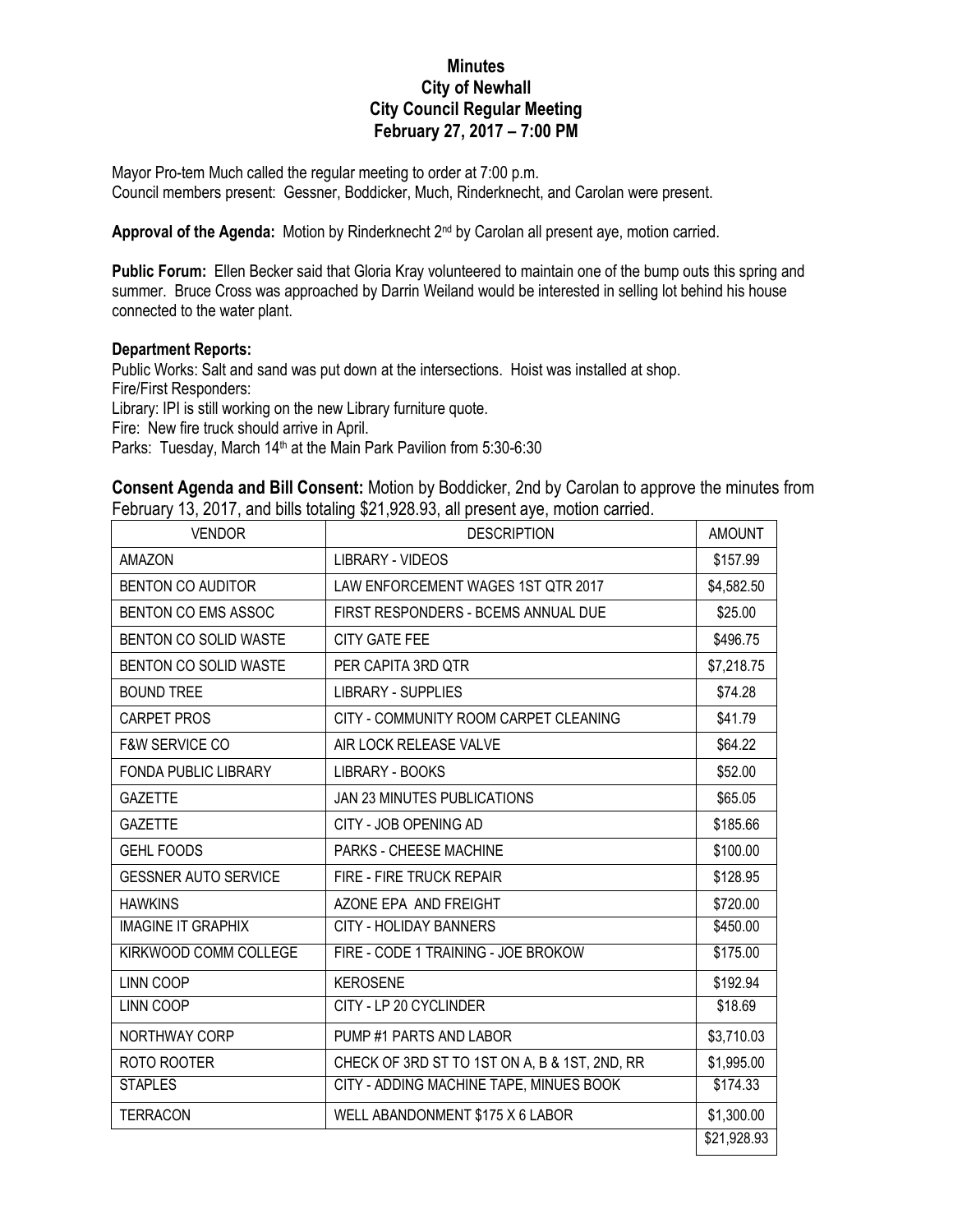## **Minutes City of Newhall City Council Regular Meeting February 27, 2017 – 7:00 PM**

Mayor Pro-tem Much called the regular meeting to order at 7:00 p.m. Council members present: Gessner, Boddicker, Much, Rinderknecht, and Carolan were present.

Approval of the Agenda: Motion by Rinderknecht 2<sup>nd</sup> by Carolan all present aye, motion carried.

**Public Forum:** Ellen Becker said that Gloria Kray volunteered to maintain one of the bump outs this spring and summer. Bruce Cross was approached by Darrin Weiland would be interested in selling lot behind his house connected to the water plant.

## **Department Reports:**

Public Works: Salt and sand was put down at the intersections. Hoist was installed at shop. Fire/First Responders: Library: IPI is still working on the new Library furniture quote.

Fire: New fire truck should arrive in April.

Parks: Tuesday, March 14<sup>th</sup> at the Main Park Pavilion from 5:30-6:30

**Consent Agenda and Bill Consent:** Motion by Boddicker, 2nd by Carolan to approve the minutes from February 13, 2017, and bills totaling \$21,928.93, all present aye, motion carried.

| <b>VENDOR</b>               | <b>DESCRIPTION</b>                            | <b>AMOUNT</b> |
|-----------------------------|-----------------------------------------------|---------------|
| <b>AMAZON</b>               | LIBRARY - VIDEOS                              | \$157.99      |
| <b>BENTON CO AUDITOR</b>    | LAW ENFORCEMENT WAGES 1ST QTR 2017            | \$4,582.50    |
| BENTON CO EMS ASSOC         | FIRST RESPONDERS - BCEMS ANNUAL DUE           | \$25.00       |
| BENTON CO SOLID WASTE       | <b>CITY GATE FEE</b>                          | \$496.75      |
| BENTON CO SOLID WASTE       | PER CAPITA 3RD QTR                            | \$7,218.75    |
| <b>BOUND TREE</b>           | <b>LIBRARY - SUPPLIES</b>                     | \$74.28       |
| <b>CARPET PROS</b>          | CITY - COMMUNITY ROOM CARPET CLEANING         | \$41.79       |
| <b>F&amp;W SERVICE CO</b>   | AIR LOCK RELEASE VALVE                        | \$64.22       |
| <b>FONDA PUBLIC LIBRARY</b> | LIBRARY - BOOKS                               | \$52.00       |
| <b>GAZETTE</b>              | JAN 23 MINUTES PUBLICATIONS                   | \$65.05       |
| <b>GAZETTE</b>              | CITY - JOB OPENING AD                         | \$185.66      |
| <b>GEHL FOODS</b>           | PARKS - CHEESE MACHINE                        | \$100.00      |
| <b>GESSNER AUTO SERVICE</b> | FIRE - FIRE TRUCK REPAIR                      | \$128.95      |
| <b>HAWKINS</b>              | AZONE EPA AND FREIGHT                         | \$720.00      |
| <b>IMAGINE IT GRAPHIX</b>   | <b>CITY - HOLIDAY BANNERS</b>                 | \$450.00      |
| KIRKWOOD COMM COLLEGE       | FIRE - CODE 1 TRAINING - JOE BROKOW           | \$175.00      |
| <b>LINN COOP</b>            | <b>KEROSENE</b>                               | \$192.94      |
| LINN COOP                   | CITY - LP 20 CYCLINDER                        | \$18.69       |
| NORTHWAY CORP               | PUMP #1 PARTS AND LABOR                       | \$3,710.03    |
| ROTO ROOTER                 | CHECK OF 3RD ST TO 1ST ON A, B & 1ST, 2ND, RR | \$1,995.00    |
| <b>STAPLES</b>              | CITY - ADDING MACHINE TAPE, MINUES BOOK       | \$174.33      |
| <b>TERRACON</b>             | WELL ABANDONMENT \$175 X 6 LABOR              | \$1,300.00    |
|                             |                                               | \$21,928.93   |